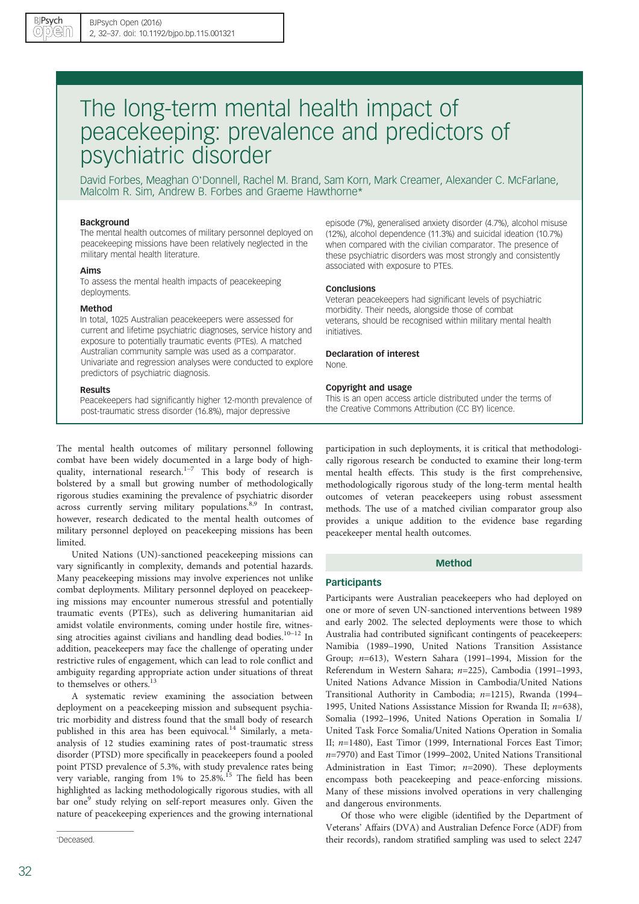# The long-term mental health impact of peacekeeping: prevalence and predictors of psychiatric disorder

David Forbes, Meaghan O'Donnell, Rachel M. Brand, Sam Korn, Mark Creamer, Alexander C. McFarlane, Malcolm R. Sim, Andrew B. Forbes and Graeme Hawthorne\*

#### Background

The mental health outcomes of military personnel deployed on peacekeeping missions have been relatively neglected in the military mental health literature.

#### Aims

To assess the mental health impacts of peacekeeping deployments.

#### Method

In total, 1025 Australian peacekeepers were assessed for current and lifetime psychiatric diagnoses, service history and exposure to potentially traumatic events (PTEs). A matched Australian community sample was used as a comparator. Univariate and regression analyses were conducted to explore predictors of psychiatric diagnosis.

#### Results

Peacekeepers had significantly higher 12-month prevalence of post-traumatic stress disorder (16.8%), major depressive

The mental health outcomes of military personnel following combat have been widely documented in a large body of highquality, international research. $1-7$  This body of research is bolstered by a small but growing number of methodologically rigorous studies examining the prevalence of psychiatric disorder across currently serving military populations.<sup>8,9</sup> In contrast, however, research dedicated to the mental health outcomes of military personnel deployed on peacekeeping missions has been limited.

United Nations (UN)-sanctioned peacekeeping missions can vary significantly in complexity, demands and potential hazards. Many peacekeeping missions may involve experiences not unlike combat deployments. Military personnel deployed on peacekeeping missions may encounter numerous stressful and potentially traumatic events (PTEs), such as delivering humanitarian aid amidst volatile environments, coming under hostile fire, witnessing atrocities against civilians and handling dead bodies.<sup>10-12</sup> In addition, peacekeepers may face the challenge of operating under restrictive rules of engagement, which can lead to role conflict and ambiguity regarding appropriate action under situations of threat to themselves or others.<sup>13</sup>

A systematic review examining the association between deployment on a peacekeeping mission and subsequent psychiatric morbidity and distress found that the small body of research published in this area has been equivocal.<sup>14</sup> Similarly, a metaanalysis of 12 studies examining rates of post-traumatic stress disorder (PTSD) more specifically in peacekeepers found a pooled point PTSD prevalence of 5.3%, with study prevalence rates being very variable, ranging from 1% to 25.8%.<sup>15</sup> The field has been highlighted as lacking methodologically rigorous studies, with all bar one<sup>9</sup> study relying on self-report measures only. Given the nature of peacekeeping experiences and the growing international

episode (7%), generalised anxiety disorder (4.7%), alcohol misuse (12%), alcohol dependence (11.3%) and suicidal ideation (10.7%) when compared with the civilian comparator. The presence of these psychiatric disorders was most strongly and consistently associated with exposure to PTEs.

#### **Conclusions**

Veteran peacekeepers had significant levels of psychiatric morbidity. Their needs, alongside those of combat veterans, should be recognised within military mental health initiatives.

Declaration of interest None.

#### Copyright and usage

This is an open access article distributed under the terms of the Creative Commons Attribution (CC BY) licence.

participation in such deployments, it is critical that methodologically rigorous research be conducted to examine their long-term mental health effects. This study is the first comprehensive, methodologically rigorous study of the long-term mental health outcomes of veteran peacekeepers using robust assessment methods. The use of a matched civilian comparator group also provides a unique addition to the evidence base regarding peacekeeper mental health outcomes.

## Method

### **Participants**

Participants were Australian peacekeepers who had deployed on one or more of seven UN-sanctioned interventions between 1989 and early 2002. The selected deployments were those to which Australia had contributed significant contingents of peacekeepers: Namibia (1989–1990, United Nations Transition Assistance Group; n=613), Western Sahara (1991–1994, Mission for the Referendum in Western Sahara; n=225), Cambodia (1991–1993, United Nations Advance Mission in Cambodia/United Nations Transitional Authority in Cambodia; n=1215), Rwanda (1994– 1995, United Nations Assisstance Mission for Rwanda II;  $n=638$ ), Somalia (1992–1996, United Nations Operation in Somalia I/ United Task Force Somalia/United Nations Operation in Somalia II; n=1480), East Timor (1999, International Forces East Timor; n=7970) and East Timor (1999–2002, United Nations Transitional Administration in East Timor;  $n=2090$ ). These deployments encompass both peacekeeping and peace-enforcing missions. Many of these missions involved operations in very challenging and dangerous environments.

Of those who were eligible (identified by the Department of Veterans' Affairs (DVA) and Australian Defence Force (ADF) from their records), random stratified sampling was used to select 2247 \*

Deceased.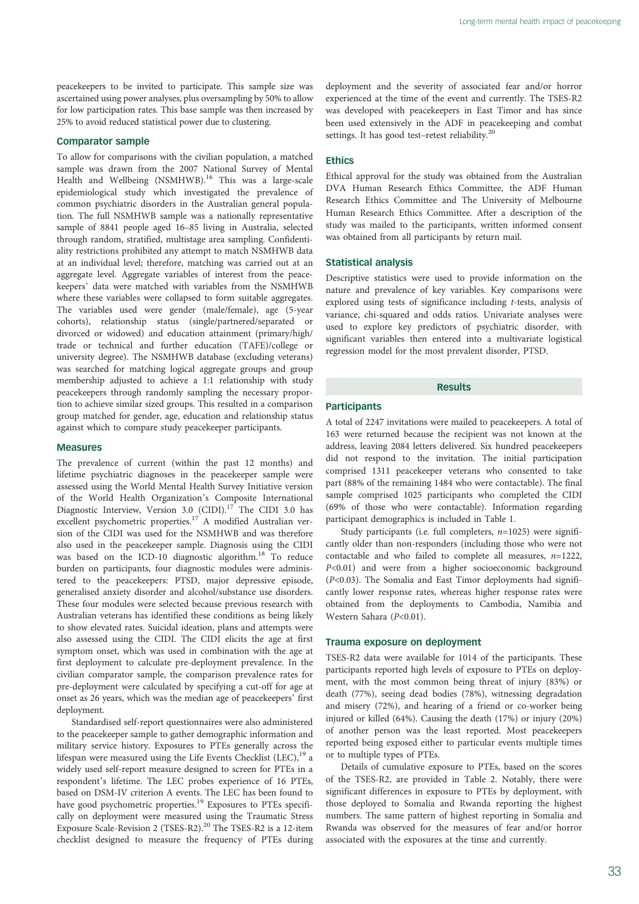peacekeepers to be invited to participate. This sample size was ascertained using power analyses, plus oversampling by 50% to allow for low participation rates. This base sample was then increased by 25% to avoid reduced statistical power due to clustering.

## Comparator sample

To allow for comparisons with the civilian population, a matched sample was drawn from the 2007 National Survey of Mental Health and Wellbeing (NSMHWB).<sup>16</sup> This was a large-scale epidemiological study which investigated the prevalence of common psychiatric disorders in the Australian general population. The full NSMHWB sample was a nationally representative sample of 8841 people aged 16–85 living in Australia, selected through random, stratified, multistage area sampling. Confidentiality restrictions prohibited any attempt to match NSMHWB data at an individual level; therefore, matching was carried out at an aggregate level. Aggregate variables of interest from the peacekeepers' data were matched with variables from the NSMHWB where these variables were collapsed to form suitable aggregates. The variables used were gender (male/female), age (5-year cohorts), relationship status (single/partnered/separated or divorced or widowed) and education attainment (primary/high/ trade or technical and further education (TAFE)/college or university degree). The NSMHWB database (excluding veterans) was searched for matching logical aggregate groups and group membership adjusted to achieve a 1:1 relationship with study peacekeepers through randomly sampling the necessary proportion to achieve similar sized groups. This resulted in a comparison group matched for gender, age, education and relationship status against which to compare study peacekeeper participants.

#### Measures

The prevalence of current (within the past 12 months) and lifetime psychiatric diagnoses in the peacekeeper sample were assessed using the World Mental Health Survey Initiative version of the World Health Organization's Composite International Diagnostic Interview, Version 3.0 (CIDI).<sup>17</sup> The CIDI 3.0 has excellent psychometric properties.<sup>17</sup> A modified Australian version of the CIDI was used for the NSMHWB and was therefore also used in the peacekeeper sample. Diagnosis using the CIDI was based on the ICD-10 diagnostic algorithm.<sup>18</sup> To reduce burden on participants, four diagnostic modules were administered to the peacekeepers: PTSD, major depressive episode, generalised anxiety disorder and alcohol/substance use disorders. These four modules were selected because previous research with Australian veterans has identified these conditions as being likely to show elevated rates. Suicidal ideation, plans and attempts were also assessed using the CIDI. The CIDI elicits the age at first symptom onset, which was used in combination with the age at first deployment to calculate pre-deployment prevalence. In the civilian comparator sample, the comparison prevalence rates for pre-deployment were calculated by specifying a cut-off for age at onset as 26 years, which was the median age of peacekeepers' first deployment.

Standardised self-report questionnaires were also administered to the peacekeeper sample to gather demographic information and military service history. Exposures to PTEs generally across the lifespan were measured using the Life Events Checklist (LEC),<sup>19</sup> a widely used self-report measure designed to screen for PTEs in a respondent's lifetime. The LEC probes experience of 16 PTEs, based on DSM-IV criterion A events. The LEC has been found to have good psychometric properties.<sup>19</sup> Exposures to PTEs specifically on deployment were measured using the Traumatic Stress Exposure Scale-Revision 2 (TSES-R2).<sup>20</sup> The TSES-R2 is a 12-item checklist designed to measure the frequency of PTEs during deployment and the severity of associated fear and/or horror experienced at the time of the event and currently. The TSES-R2 was developed with peacekeepers in East Timor and has since been used extensively in the ADF in peacekeeping and combat settings. It has good test-retest reliability.<sup>20</sup>

# Ethics

Ethical approval for the study was obtained from the Australian DVA Human Research Ethics Committee, the ADF Human Research Ethics Committee and The University of Melbourne Human Research Ethics Committee. After a description of the study was mailed to the participants, written informed consent was obtained from all participants by return mail.

# Statistical analysis

Descriptive statistics were used to provide information on the nature and prevalence of key variables. Key comparisons were explored using tests of significance including t-tests, analysis of variance, chi-squared and odds ratios. Univariate analyses were used to explore key predictors of psychiatric disorder, with significant variables then entered into a multivariate logistical regression model for the most prevalent disorder, PTSD.

## Results

# **Participants**

A total of 2247 invitations were mailed to peacekeepers. A total of 163 were returned because the recipient was not known at the address, leaving 2084 letters delivered. Six hundred peacekeepers did not respond to the invitation. The initial participation comprised 1311 peacekeeper veterans who consented to take part (88% of the remaining 1484 who were contactable). The final sample comprised 1025 participants who completed the CIDI (69% of those who were contactable). Information regarding participant demographics is included in Table 1.

Study participants (i.e. full completers,  $n=1025$ ) were significantly older than non-responders (including those who were not contactable and who failed to complete all measures,  $n=1222$ , P<0.01) and were from a higher socioeconomic background (P<0.03). The Somalia and East Timor deployments had significantly lower response rates, whereas higher response rates were obtained from the deployments to Cambodia, Namibia and Western Sahara (P<0.01).

## Trauma exposure on deployment

TSES-R2 data were available for 1014 of the participants. These participants reported high levels of exposure to PTEs on deployment, with the most common being threat of injury (83%) or death (77%), seeing dead bodies (78%), witnessing degradation and misery (72%), and hearing of a friend or co-worker being injured or killed (64%). Causing the death (17%) or injury (20%) of another person was the least reported. Most peacekeepers reported being exposed either to particular events multiple times or to multiple types of PTEs.

Details of cumulative exposure to PTEs, based on the scores of the TSES-R2, are provided in Table 2. Notably, there were significant differences in exposure to PTEs by deployment, with those deployed to Somalia and Rwanda reporting the highest numbers. The same pattern of highest reporting in Somalia and Rwanda was observed for the measures of fear and/or horror associated with the exposures at the time and currently.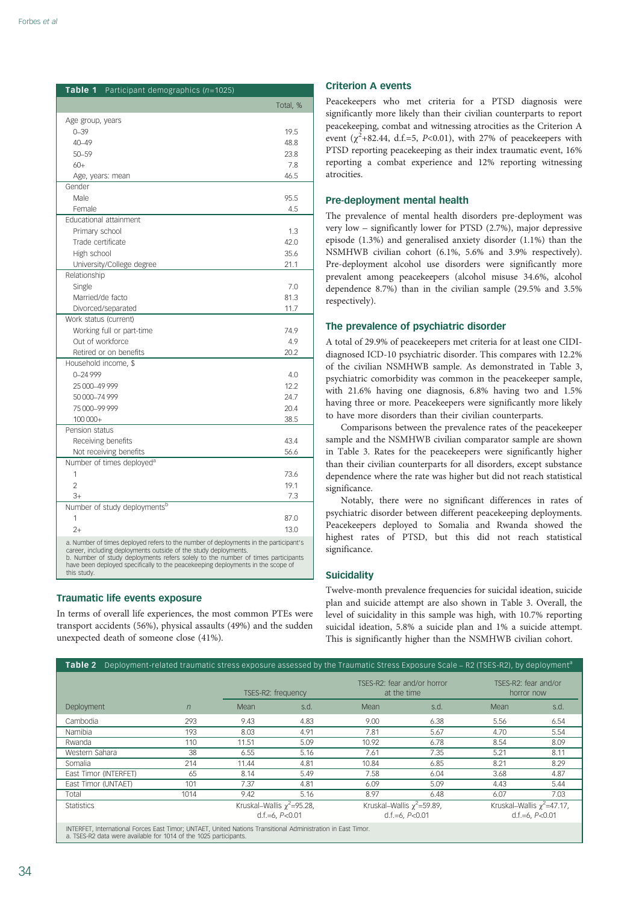| Table 1<br>Participant demographics ( $n=1025$ )                                                                                                                                                                                                                                                                                              |          |
|-----------------------------------------------------------------------------------------------------------------------------------------------------------------------------------------------------------------------------------------------------------------------------------------------------------------------------------------------|----------|
|                                                                                                                                                                                                                                                                                                                                               | Total, % |
| Age group, years                                                                                                                                                                                                                                                                                                                              |          |
| $0 - 39$                                                                                                                                                                                                                                                                                                                                      | 19.5     |
| 40-49                                                                                                                                                                                                                                                                                                                                         | 48.8     |
| 50-59                                                                                                                                                                                                                                                                                                                                         | 23.8     |
| $60+$                                                                                                                                                                                                                                                                                                                                         | 7.8      |
| Age, years: mean                                                                                                                                                                                                                                                                                                                              | 46.5     |
| Gender                                                                                                                                                                                                                                                                                                                                        |          |
| Male                                                                                                                                                                                                                                                                                                                                          | 95.5     |
| Female                                                                                                                                                                                                                                                                                                                                        | 4.5      |
| Educational attainment                                                                                                                                                                                                                                                                                                                        |          |
| Primary school                                                                                                                                                                                                                                                                                                                                | 1.3      |
| Trade certificate                                                                                                                                                                                                                                                                                                                             | 42.0     |
| High school                                                                                                                                                                                                                                                                                                                                   | 35.6     |
| University/College degree                                                                                                                                                                                                                                                                                                                     | 21.1     |
| Relationship                                                                                                                                                                                                                                                                                                                                  |          |
| Single                                                                                                                                                                                                                                                                                                                                        | 7.0      |
| Married/de facto                                                                                                                                                                                                                                                                                                                              | 81.3     |
| Divorced/separated                                                                                                                                                                                                                                                                                                                            | 11.7     |
| Work status (current)                                                                                                                                                                                                                                                                                                                         |          |
| Working full or part-time                                                                                                                                                                                                                                                                                                                     | 74.9     |
| Out of workforce                                                                                                                                                                                                                                                                                                                              | 4.9      |
| Retired or on benefits                                                                                                                                                                                                                                                                                                                        | 20.2     |
| Household income, \$                                                                                                                                                                                                                                                                                                                          |          |
| 0-24 999                                                                                                                                                                                                                                                                                                                                      | 4.0      |
| 25 000-49 999                                                                                                                                                                                                                                                                                                                                 | 12.2     |
| 50 000-74 999                                                                                                                                                                                                                                                                                                                                 | 24.7     |
| 75000-99999                                                                                                                                                                                                                                                                                                                                   | 20.4     |
| 100 000+                                                                                                                                                                                                                                                                                                                                      | 38.5     |
| Pension status                                                                                                                                                                                                                                                                                                                                |          |
| Receiving benefits                                                                                                                                                                                                                                                                                                                            | 43.4     |
| Not receiving benefits                                                                                                                                                                                                                                                                                                                        | 56.6     |
| Number of times deployed <sup>a</sup>                                                                                                                                                                                                                                                                                                         |          |
| 1                                                                                                                                                                                                                                                                                                                                             | 73.6     |
| $\mathfrak{p}$                                                                                                                                                                                                                                                                                                                                | 19.1     |
| $3+$                                                                                                                                                                                                                                                                                                                                          | 7.3      |
| Number of study deploymentsb<br>1                                                                                                                                                                                                                                                                                                             |          |
|                                                                                                                                                                                                                                                                                                                                               | 87.0     |
| $2+$                                                                                                                                                                                                                                                                                                                                          | 13.0     |
| a. Number of times deployed refers to the number of deployments in the participant's<br>career, including deployments outside of the study deployments.<br>b. Number of study deployments refers solely to the number of times participants<br>have been deployed specifically to the peacekeeping deployments in the scope of<br>this study. |          |

# Traumatic life events exposure

In terms of overall life experiences, the most common PTEs were transport accidents (56%), physical assaults (49%) and the sudden unexpected death of someone close (41%).

# Criterion A events

Peacekeepers who met criteria for a PTSD diagnosis were significantly more likely than their civilian counterparts to report peacekeeping, combat and witnessing atrocities as the Criterion A event ( $\chi^2$ +82.44, d.f.=5, P<0.01), with 27% of peacekeepers with PTSD reporting peacekeeping as their index traumatic event, 16% reporting a combat experience and 12% reporting witnessing atrocities.

# Pre-deployment mental health

The prevalence of mental health disorders pre-deployment was very low – significantly lower for PTSD (2.7%), major depressive episode (1.3%) and generalised anxiety disorder (1.1%) than the NSMHWB civilian cohort (6.1%, 5.6% and 3.9% respectively). Pre-deployment alcohol use disorders were significantly more prevalent among peacekeepers (alcohol misuse 34.6%, alcohol dependence 8.7%) than in the civilian sample (29.5% and 3.5% respectively).

# The prevalence of psychiatric disorder

A total of 29.9% of peacekeepers met criteria for at least one CIDIdiagnosed ICD-10 psychiatric disorder. This compares with 12.2% of the civilian NSMHWB sample. As demonstrated in Table 3, psychiatric comorbidity was common in the peacekeeper sample, with 21.6% having one diagnosis, 6.8% having two and 1.5% having three or more. Peacekeepers were significantly more likely to have more disorders than their civilian counterparts.

Comparisons between the prevalence rates of the peacekeeper sample and the NSMHWB civilian comparator sample are shown in Table 3. Rates for the peacekeepers were significantly higher than their civilian counterparts for all disorders, except substance dependence where the rate was higher but did not reach statistical significance.

Notably, there were no significant differences in rates of psychiatric disorder between different peacekeeping deployments. Peacekeepers deployed to Somalia and Rwanda showed the highest rates of PTSD, but this did not reach statistical significance.

# **Suicidality**

Twelve-month prevalence frequencies for suicidal ideation, suicide plan and suicide attempt are also shown in Table 3. Overall, the level of suicidality in this sample was high, with 10.7% reporting suicidal ideation, 5.8% a suicide plan and 1% a suicide attempt. This is significantly higher than the NSMHWB civilian cohort.

| Table 2                                                                                                                                                                         |                    |                                 |      | Deployment-related traumatic stress exposure assessed by the Traumatic Stress Exposure Scale – R2 (TSES-R2), by deployment <sup>a</sup> |      |                                    |                                 |
|---------------------------------------------------------------------------------------------------------------------------------------------------------------------------------|--------------------|---------------------------------|------|-----------------------------------------------------------------------------------------------------------------------------------------|------|------------------------------------|---------------------------------|
|                                                                                                                                                                                 |                    | TSES-R2: frequency              |      | TSFS-R2: fear and/or horror<br>at the time                                                                                              |      | TSFS-R2: fear and/or<br>horror now |                                 |
| Deployment                                                                                                                                                                      | $\eta$             | Mean                            | s.d. | Mean                                                                                                                                    | s.d. | Mean                               | s.d.                            |
| Cambodia                                                                                                                                                                        | 293                | 9.43                            | 4.83 | 9.00                                                                                                                                    | 6.38 | 5.56                               | 6.54                            |
| Namibia                                                                                                                                                                         | 193                | 8.03                            | 4.91 | 7.81                                                                                                                                    | 5.67 | 4.70                               | 5.54                            |
| Rwanda                                                                                                                                                                          | 110                | 11.51                           | 5.09 | 10.92                                                                                                                                   | 6.78 | 8.54                               | 8.09                            |
| Western Sahara                                                                                                                                                                  | 38                 | 6.55                            | 5.16 | 7.61                                                                                                                                    | 7.35 | 5.21                               | 8.11                            |
| Somalia                                                                                                                                                                         | 214                | 11.44                           | 4.81 | 10.84                                                                                                                                   | 6.85 | 8.21                               | 8.29                            |
| East Timor (INTERFET)                                                                                                                                                           | 65                 | 8.14                            | 5.49 | 7.58                                                                                                                                    | 6.04 | 3.68                               | 4.87                            |
| East Timor (UNTAET)                                                                                                                                                             | 101                | 7.37                            | 4.81 | 6.09                                                                                                                                    | 5.09 | 4.43                               | 5.44                            |
| Total                                                                                                                                                                           | 1014               | 9.42                            | 5.16 | 8.97                                                                                                                                    | 6.48 | 6.07                               | 7.03                            |
| <b>Statistics</b>                                                                                                                                                               |                    | Kruskal–Wallis $\chi^2$ =95.28, |      | Kruskal–Wallis $\chi^2$ =59.89,                                                                                                         |      |                                    | Kruskal–Wallis $\chi^2$ =47.17, |
|                                                                                                                                                                                 | d.f.=6, $P < 0.01$ |                                 |      | d.f.=6, $P<0.01$                                                                                                                        |      | $d.f.=6. P < 0.01$                 |                                 |
| INTERFET, International Forces East Timor: UNTAET, United Nations Transitional Administration in East Timor,<br>a TSES-R2 data were available for 1014 of the 1025 participants |                    |                                 |      |                                                                                                                                         |      |                                    |                                 |

a. TSES-R2 data were available for 1014 of the 1025 participants.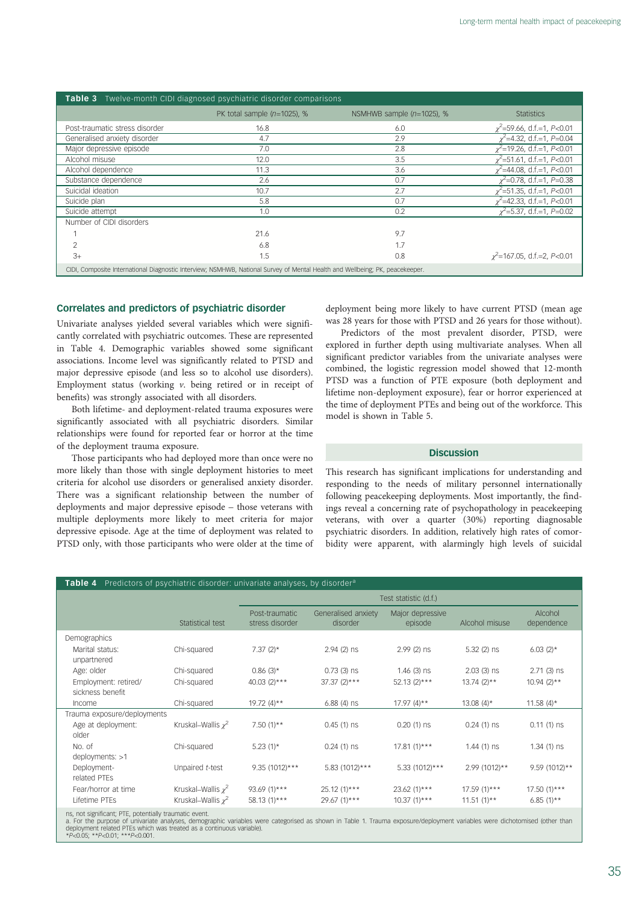| Twelve-month CIDI diagnosed psychiatric disorder comparisons<br>Table 3                                                      |                                |                              |                                  |  |  |  |
|------------------------------------------------------------------------------------------------------------------------------|--------------------------------|------------------------------|----------------------------------|--|--|--|
|                                                                                                                              | PK total sample $(n=1025)$ , % | NSMHWB sample $(n=1025)$ , % | <b>Statistics</b>                |  |  |  |
| Post-traumatic stress disorder                                                                                               | 16.8                           | 6.0                          | $x^2$ =59.66, d.f.=1, P<0.01     |  |  |  |
| Generalised anxiety disorder                                                                                                 | 4.7                            | 2.9                          | $x^2$ =4.32, d.f.=1, P=0.04      |  |  |  |
| Major depressive episode                                                                                                     | 7.0                            | 2.8                          | $\chi^2$ =19.26, d.f.=1, P<0.01  |  |  |  |
| Alcohol misuse                                                                                                               | 12.0                           | 3.5                          | $x^2$ =51.61, d.f.=1, P<0.01     |  |  |  |
| Alcohol dependence                                                                                                           | 11.3                           | 3.6                          | $x^2$ =44.08, d.f.=1, P<0.01     |  |  |  |
| Substance dependence                                                                                                         | 2.6                            | 0.7                          | $x^2$ =0.78, d.f.=1, P=0.38      |  |  |  |
| Suicidal ideation                                                                                                            | 10.7                           | 2.7                          | $\chi^2$ =51.35, d.f.=1, P<0.01  |  |  |  |
| Suicide plan                                                                                                                 | 5.8                            | 0.7                          | $\chi^2$ =42.33, d.f.=1, P<0.01  |  |  |  |
| Suicide attempt                                                                                                              | 1.0                            | 0.2                          | $x^2$ =5.37, d.f.=1, P=0.02      |  |  |  |
| Number of CIDI disorders                                                                                                     |                                |                              |                                  |  |  |  |
|                                                                                                                              | 21.6                           | 9.7                          |                                  |  |  |  |
| $\overline{2}$                                                                                                               | 6.8                            | 1.7                          |                                  |  |  |  |
| $3+$                                                                                                                         | 1.5                            | 0.8                          | $\chi^2$ =167.05, d.f.=2, P<0.01 |  |  |  |
| CIDI, Composite International Diagnostic Interview; NSMHWB, National Survey of Mental Health and Wellbeing; PK, peacekeeper. |                                |                              |                                  |  |  |  |

## Correlates and predictors of psychiatric disorder

Univariate analyses yielded several variables which were significantly correlated with psychiatric outcomes. These are represented in Table 4. Demographic variables showed some significant associations. Income level was significantly related to PTSD and major depressive episode (and less so to alcohol use disorders). Employment status (working v. being retired or in receipt of benefits) was strongly associated with all disorders.

Both lifetime- and deployment-related trauma exposures were significantly associated with all psychiatric disorders. Similar relationships were found for reported fear or horror at the time of the deployment trauma exposure.

Those participants who had deployed more than once were no more likely than those with single deployment histories to meet criteria for alcohol use disorders or generalised anxiety disorder. There was a significant relationship between the number of deployments and major depressive episode – those veterans with multiple deployments more likely to meet criteria for major depressive episode. Age at the time of deployment was related to PTSD only, with those participants who were older at the time of deployment being more likely to have current PTSD (mean age was 28 years for those with PTSD and 26 years for those without).

Predictors of the most prevalent disorder, PTSD, were explored in further depth using multivariate analyses. When all significant predictor variables from the univariate analyses were combined, the logistic regression model showed that 12-month PTSD was a function of PTE exposure (both deployment and lifetime non-deployment exposure), fear or horror experienced at the time of deployment PTEs and being out of the workforce. This model is shown in Table 5.

# **Discussion**

This research has significant implications for understanding and responding to the needs of military personnel internationally following peacekeeping deployments. Most importantly, the findings reveal a concerning rate of psychopathology in peacekeeping veterans, with over a quarter (30%) reporting diagnosable psychiatric disorders. In addition, relatively high rates of comorbidity were apparent, with alarmingly high levels of suicidal

# Table 4 Predictors of psychiatric disorder: univariate analyses, by disorder<sup>4</sup>

|                                                                                                                                                                                                                               |                         | Test statistic (d.f.)             |                                 |                             |                |                       |
|-------------------------------------------------------------------------------------------------------------------------------------------------------------------------------------------------------------------------------|-------------------------|-----------------------------------|---------------------------------|-----------------------------|----------------|-----------------------|
|                                                                                                                                                                                                                               | Statistical test        | Post-traumatic<br>stress disorder | Generalised anxiety<br>disorder | Major depressive<br>episode | Alcohol misuse | Alcohol<br>dependence |
| Demographics                                                                                                                                                                                                                  |                         |                                   |                                 |                             |                |                       |
| Marital status:<br>unpartnered                                                                                                                                                                                                | Chi-squared             | 7.37 $(2)$ *                      | $2.94(2)$ ns                    | $2.99(2)$ ns                | $5.32(2)$ ns   | $6.03(2)$ *           |
| Age: older                                                                                                                                                                                                                    | Chi-squared             | $0.86(3)$ *                       | $0.73(3)$ ns                    | $1.46$ (3) ns               | $2.03$ (3) ns  | $2.71(3)$ ns          |
| Employment: retired/<br>sickness benefit                                                                                                                                                                                      | Chi-squared             | $40.03(2)***$                     | $37.37(2)***$                   | $52.13(2)***$               | $13.74(2)**$   | $10.94(2)$ **         |
| Income                                                                                                                                                                                                                        | Chi-squared             | $19.72(4)**$                      | $6.88(4)$ ns                    | $17.97(4)**$                | $13.08(4)$ *   | 11.58 $(4)$ *         |
| Trauma exposure/deployments                                                                                                                                                                                                   |                         |                                   |                                 |                             |                |                       |
| Age at deployment:                                                                                                                                                                                                            | Kruskal–Wallis $x^2$    | 7.50 $(1)$ **                     | $0.45(1)$ ns                    | $0.20(1)$ ns                | $0.24(1)$ ns   | $0.11(1)$ ns          |
| older                                                                                                                                                                                                                         |                         |                                   |                                 |                             |                |                       |
| No. of                                                                                                                                                                                                                        | Chi-squared             | $5.23(1)$ *                       | $0.24(1)$ ns                    | $17.81(1)***$               | $1.44(1)$ ns   | $1.34(1)$ ns          |
| deployments: >1                                                                                                                                                                                                               |                         |                                   |                                 |                             |                |                       |
| Deployment-<br>related PTEs                                                                                                                                                                                                   | Unpaired t-test         | 9.35 (1012)***                    | 5.83 (1012)***                  | 5.33 (1012)***              | 2.99 (1012)**  | 9.59 (1012)**         |
| Fear/horror at time                                                                                                                                                                                                           | Kruskal–Wallis $\chi^2$ | 93.69 (1)***                      | $25.12(1)***$                   | $23.62(1)***$               | $17.59(1**$    | $17.50(1**$           |
| Lifetime PTEs                                                                                                                                                                                                                 | Kruskal–Wallis $x^2$    | $58.13(1)***$                     | $29.67(1)***$                   | $10.37(1)***$               | $11.51(1)**$   | $6.85(1)$ **          |
| and the community of the community of the community of the community of the community of the community of the community of the community of the community of the community of the community of the community of the community |                         |                                   |                                 |                             |                |                       |

ns, not significant; PTE, potentially traumatic event.<br>a. For the purpose of univariate analyses, demographic variables were categorised as shown in Table 1. Trauma exposure/deployment variables were dichotomised (other th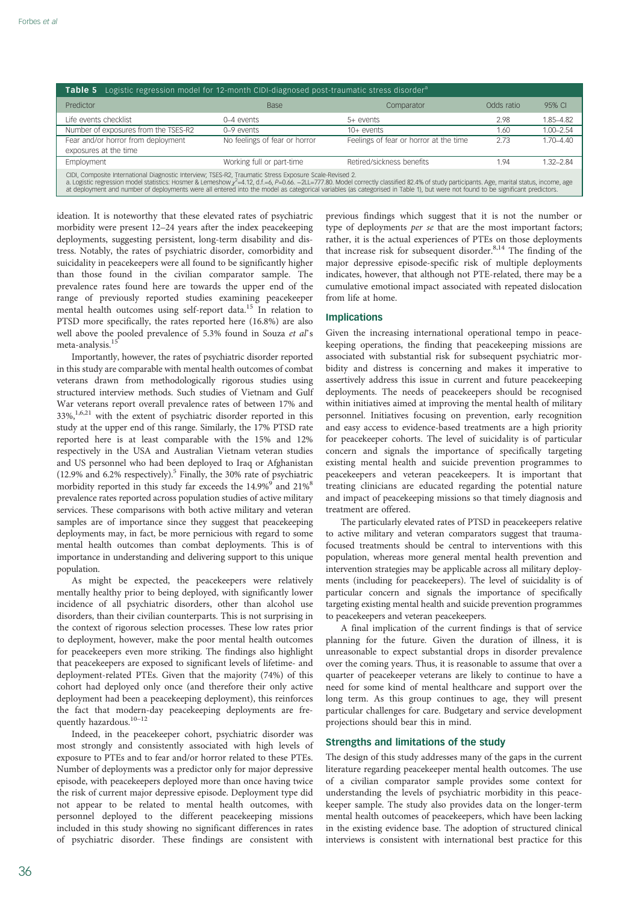| <b>Table 5</b> Logistic regression model for 12-month CIDI-diagnosed post-traumatic stress disorder <sup>a</sup>                                                                                                                                                                                                                                                                                                                                                                           |                               |                                        |            |               |  |  |  |
|--------------------------------------------------------------------------------------------------------------------------------------------------------------------------------------------------------------------------------------------------------------------------------------------------------------------------------------------------------------------------------------------------------------------------------------------------------------------------------------------|-------------------------------|----------------------------------------|------------|---------------|--|--|--|
| Predictor                                                                                                                                                                                                                                                                                                                                                                                                                                                                                  | <b>Base</b>                   | Comparator                             | Odds ratio | 95% CI        |  |  |  |
| Life events checklist                                                                                                                                                                                                                                                                                                                                                                                                                                                                      | 0–4 events                    | $5+$ events                            | 2.98       | 1.85-4.82     |  |  |  |
| Number of exposures from the TSES-R2                                                                                                                                                                                                                                                                                                                                                                                                                                                       | $0-9$ events                  | $10+$ events                           | 1.60       | $1.00 - 2.54$ |  |  |  |
| Fear and/or horror from deployment                                                                                                                                                                                                                                                                                                                                                                                                                                                         | No feelings of fear or horror | Feelings of fear or horror at the time | 2.73       | $1.70 - 4.40$ |  |  |  |
| exposures at the time                                                                                                                                                                                                                                                                                                                                                                                                                                                                      |                               |                                        |            |               |  |  |  |
| Employment                                                                                                                                                                                                                                                                                                                                                                                                                                                                                 | Working full or part-time     | Retired/sickness benefits              | 1.94       | $1.32 - 2.84$ |  |  |  |
| CIDI, Composite International Diagnostic Interview; TSES-R2, Traumatic Stress Exposure Scale-Revised 2.<br>a. Logistic regression model statistics: Hosmer & Lemeshow $r^2$ =4.12, d.f.=6, P=0.66. -2LL=777.80. Model correctly classified 82.4% of study participants. Age, marital status, income, age<br>at deployment and number of deployments were all entered into the model as categorical variables (as categorised in Table 1), but were not found to be significant predictors. |                               |                                        |            |               |  |  |  |

ideation. It is noteworthy that these elevated rates of psychiatric morbidity were present 12–24 years after the index peacekeeping deployments, suggesting persistent, long-term disability and distress. Notably, the rates of psychiatric disorder, comorbidity and suicidality in peacekeepers were all found to be significantly higher than those found in the civilian comparator sample. The prevalence rates found here are towards the upper end of the range of previously reported studies examining peacekeeper mental health outcomes using self-report data.<sup>15</sup> In relation to PTSD more specifically, the rates reported here (16.8%) are also well above the pooled prevalence of 5.3% found in Souza et al's meta-analysis.<sup>1</sup>

Importantly, however, the rates of psychiatric disorder reported in this study are comparable with mental health outcomes of combat veterans drawn from methodologically rigorous studies using structured interview methods. Such studies of Vietnam and Gulf War veterans report overall prevalence rates of between 17% and  $33\%$ ,<sup>1,6,21</sup> with the extent of psychiatric disorder reported in this study at the upper end of this range. Similarly, the 17% PTSD rate reported here is at least comparable with the 15% and 12% respectively in the USA and Australian Vietnam veteran studies and US personnel who had been deployed to Iraq or Afghanistan (12.9% and 6.2% respectively).5 Finally, the 30% rate of psychiatric morbidity reported in this study far exceeds the 14.9%<sup>9</sup> and 21%<sup>8</sup> prevalence rates reported across population studies of active military services. These comparisons with both active military and veteran samples are of importance since they suggest that peacekeeping deployments may, in fact, be more pernicious with regard to some mental health outcomes than combat deployments. This is of importance in understanding and delivering support to this unique population.

As might be expected, the peacekeepers were relatively mentally healthy prior to being deployed, with significantly lower incidence of all psychiatric disorders, other than alcohol use disorders, than their civilian counterparts. This is not surprising in the context of rigorous selection processes. These low rates prior to deployment, however, make the poor mental health outcomes for peacekeepers even more striking. The findings also highlight that peacekeepers are exposed to significant levels of lifetime- and deployment-related PTEs. Given that the majority (74%) of this cohort had deployed only once (and therefore their only active deployment had been a peacekeeping deployment), this reinforces the fact that modern-day peacekeeping deployments are frequently hazardous.<sup>10–12</sup>

Indeed, in the peacekeeper cohort, psychiatric disorder was most strongly and consistently associated with high levels of exposure to PTEs and to fear and/or horror related to these PTEs. Number of deployments was a predictor only for major depressive episode, with peacekeepers deployed more than once having twice the risk of current major depressive episode. Deployment type did not appear to be related to mental health outcomes, with personnel deployed to the different peacekeeping missions included in this study showing no significant differences in rates of psychiatric disorder. These findings are consistent with

previous findings which suggest that it is not the number or type of deployments per se that are the most important factors; rather, it is the actual experiences of PTEs on those deployments that increase risk for subsequent disorder.<sup>8,14</sup> The finding of the major depressive episode-specific risk of multiple deployments indicates, however, that although not PTE-related, there may be a cumulative emotional impact associated with repeated dislocation from life at home.

## Implications

Given the increasing international operational tempo in peacekeeping operations, the finding that peacekeeping missions are associated with substantial risk for subsequent psychiatric morbidity and distress is concerning and makes it imperative to assertively address this issue in current and future peacekeeping deployments. The needs of peacekeepers should be recognised within initiatives aimed at improving the mental health of military personnel. Initiatives focusing on prevention, early recognition and easy access to evidence-based treatments are a high priority for peacekeeper cohorts. The level of suicidality is of particular concern and signals the importance of specifically targeting existing mental health and suicide prevention programmes to peacekeepers and veteran peacekeepers. It is important that treating clinicians are educated regarding the potential nature and impact of peacekeeping missions so that timely diagnosis and treatment are offered.

The particularly elevated rates of PTSD in peacekeepers relative to active military and veteran comparators suggest that traumafocused treatments should be central to interventions with this population, whereas more general mental health prevention and intervention strategies may be applicable across all military deployments (including for peacekeepers). The level of suicidality is of particular concern and signals the importance of specifically targeting existing mental health and suicide prevention programmes to peacekeepers and veteran peacekeepers.

A final implication of the current findings is that of service planning for the future. Given the duration of illness, it is unreasonable to expect substantial drops in disorder prevalence over the coming years. Thus, it is reasonable to assume that over a quarter of peacekeeper veterans are likely to continue to have a need for some kind of mental healthcare and support over the long term. As this group continues to age, they will present particular challenges for care. Budgetary and service development projections should bear this in mind.

## Strengths and limitations of the study

The design of this study addresses many of the gaps in the current literature regarding peacekeeper mental health outcomes. The use of a civilian comparator sample provides some context for understanding the levels of psychiatric morbidity in this peacekeeper sample. The study also provides data on the longer-term mental health outcomes of peacekeepers, which have been lacking in the existing evidence base. The adoption of structured clinical interviews is consistent with international best practice for this